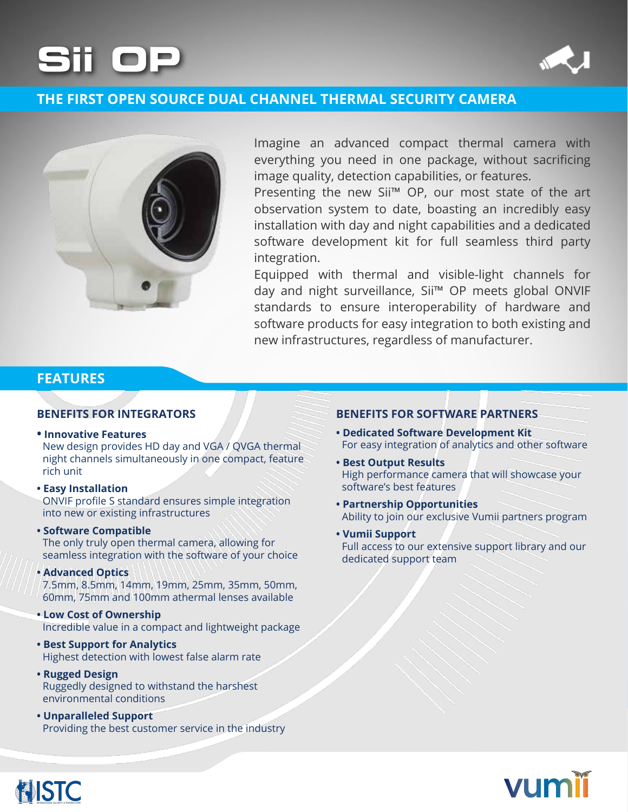# **OP Sii**



# **THE FIRST OPEN SOURCE DUAL CHANNEL THERMAL SECURITY CAMERA**



Imagine an advanced compact thermal camera with everything you need in one package, without sacrificing image quality, detection capabilities, or features.

Presenting the new Sii<sup>™</sup> OP, our most state of the art observation system to date, boasting an incredibly easy installation with day and night capabilities and a dedicated software development kit for full seamless third party integration.

Equipped with thermal and visible-light channels for day and night surveillance, Sii<sup>™</sup> OP meets global ONVIF standards to ensure interoperability of hardware and software products for easy integration to both existing and new infrastructures, regardless of manufacturer.

## **FEATURES**

#### **• Innovative Features**

New design provides HD day and VGA / QVGA thermal night channels simultaneously in one compact, feature rich unit

### **Installation Easy•**

ONVIF profile S standard ensures simple integration into new or existing infrastructures

#### **• Software Compatible**

The only truly open thermal camera, allowing for seamless integration with the software of your choice

#### **Advanced Optics**

**NISTC** 

7.5 mm, 8.5 mm, 14 mm, 19 mm, 25 mm, 35 mm, 50 mm, 60mm, 75mm and 100mm athermal lenses available

#### **Low Cost of Ownership** Incredible value in a compact and lightweight package

- **Best Support for Analytics** Highest detection with lowest false alarm rate
- **Rugged Design** Ruggedly designed to withstand the harshest environmental conditions
- **Unparalleled Support** Providing the best customer service in the industry

### **PENEFITS FOR INTEGRATORS BENEFITS FOR SOFTWARE PARTNERS**

- **Dedicated Software Development Kit** For easy integration of analytics and other software
- **Best Output Results** High performance camera that will showcase your software's best features
- **Partnership Opportunities** Ability to join our exclusive Vumii partners program
- **Vumii Support** Full access to our extensive support library and our dedicated support team